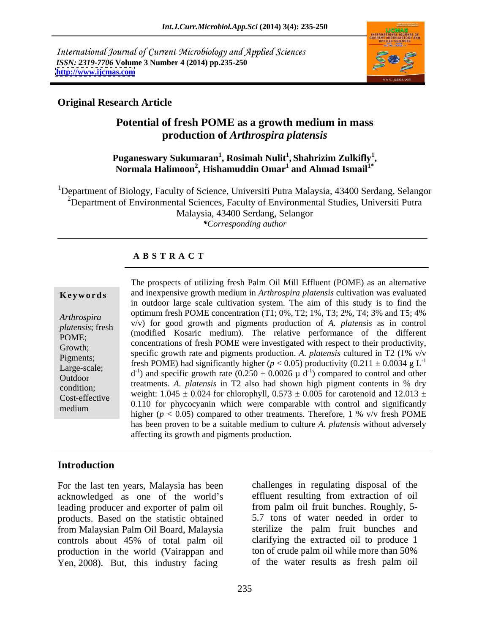International Journal of Current Microbiology and Applied Sciences *ISSN: 2319-7706* **Volume 3 Number 4 (2014) pp.235-250 <http://www.ijcmas.com>**



### **Original Research Article**

### **Potential of fresh POME as a growth medium in mass production of** *Arthrospira platensis*

### $\mathbf{P}$ uganeswary Sukumaran $^{1}$ , Rosimah Nulit $^{1}$ , Shahrizim Zulkifly $^{1}$ ,  $\mathbf{a},\mathbf{Shahrizim}\ \mathbf{Zulkifly}^{1},$ <sup>2</sup>uganeswary Sukumaran<sup>1</sup>, Rosimah Nulit<sup>1</sup>, Shahrizim Zulkifly<sup>1</sup>,<br>Normala Halimoon<sup>2</sup>, Hishamuddin Omar<sup>1</sup> and Ahmad Ismail<sup>1\*</sup> and Ahmad Ismail<sup>1\*</sup>

<sup>1</sup>Department of Biology, Faculty of Science, Universiti Putra Malaysia, 43400 Serdang, Selangor <sup>2</sup>Department of Environmental Sciences, Faculty of Environmental Studies, Universiti Putra Malaysia, 43400 Serdang, Selangor *\*Corresponding author*

### **A B S T R A C T**

**Ke ywo rds** and inexpensive growth medium in *Arthrospira platensis* cultivation was evaluated *Arthrospira* v/v) for good growth and pigments production of *A. platensis* as in control<br>*platensis*: fresh v/v) for good growth and pigments production of *A. platensis* as in control platensis; fresh v/v) for good growth and pignients production of A. *platensis* as in control<br>**POME**. (modified Kosaric medium). The relative performance of the different POME;<br>Crowth: concentrations of fresh POME were investigated with respect to their productivity, Growth;<br>Bigments. Specific growth rate and pigments production. *A. platensis* cultured in T2 (1% v/v Pigments;<br>
Fresh POME) had significantly higher ( $p < 0.05$ ) productivity (0.211 ± 0.0034 g L<sup>-1</sup> Large-scale;<br>Controllectively and specific growth rate  $(0.250 \pm 0.0026 \mu \text{ d}^{-1})$  compared to control and other Outdoor<br>
treatments. *A. platensis* in T2 also had shown high pigment contents in % dry condition;<br>
weight:  $1.045 \pm 0.024$  for chlorophyll,  $0.573 \pm 0.005$  for carotenoid and  $12.013 \pm 0.005$ Cost-effective weight. 1.045  $\pm$  0.024 for chronophyn, 0.575  $\pm$  0.005 for carolehold and 12.015  $\pm$ <br>medium 0.110 for phycocyanin which were comparable with control and significantly medium<br>higher  $(p < 0.05)$  compared to other treatments. Therefore, 1 %  $v/v$  fresh POME The prospects of utilizing fresh Palm Oil Mill Effluent (POME) as an alternative in outdoor large scale cultivation system. The aim of this study is to find the optimum fresh POME concentration (T1; 0%, T2; 1%, T3; 2%, T4; 3% and T5; 4% -1 has been proven to be a suitable medium to culture *A. platensis* without adversely affecting its growth and pigments production.

### **Introduction**

For the last ten years, Malaysia has been acknowledged as one of the world's leading producer and exporter of palm oil products. Based on the statistic obtained from Malaysian Palm Oil Board, Malaysia controls about 45% of total palm oil production in the world (Vairappan and ton of crude palm oil while more than 50%<br>
Yen 2008). But, this industry facing of the water results as fresh palm oil Yen, 2008). But, this industry facing

challenges in regulating disposal of the effluent resulting from extraction of oil from palm oil fruit bunches. Roughly, 5- 5.7 tons of water needed in order to sterilize the palm fruit bunches and clarifying the extracted oil to produce 1 ton of crude palm oil while more than 50% of the water results as fresh palm oil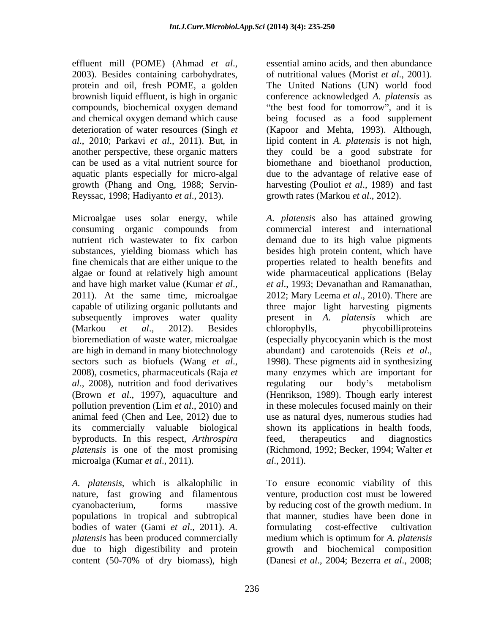effluent mill (POME) (Ahmad *et al*., 2003). Besides containing carbohydrates, protein and oil, fresh POME, a golden aquatic plants especially for micro-algal Reyssac, 1998; Hadiyanto *et al*., 2013).

Microalgae uses solar energy, while are high in demand in many biotechnology abundant) and carotenoids (Reis et al., *al.*, 2008), nutrition and food derivatives regulating our body's metabolism animal feed (Chen and Lee, 2012) due to byproducts. In this respect, *Arthrospira*  microalga (Kumar *et al*., 2011).

populations in tropical and subtropical bodies of water (Gami *et al*., 2011). *A. platensis* has been produced commercially medium which is optimum for A. *platensis* 

brownish liquid effluent, is high in organic conference acknowledged *A. platensis* as compounds, biochemical oxygen demand "the best food for tomorrow", and it is and chemical oxygen demand which cause being focused as a food supplement deterioration of water resources (Singh *et*  (Kapoor and Mehta, 1993). Although, *al*., 2010; Parkavi *et al*., 2011). But, in lipid content in *A. platensis* is not high, another perspective, these organic matters they could be a good substrate for can be used as a vital nutrient source for biomethane and bioethanol production, growth (Phang and Ong, 1988; Servin- harvesting (Pouliot *et al*., 1989) and fast essential amino acids, and then abundance of nutritional values (Morist *et al*., 2001). The United Nations (UN) world food due to the advantage of relative ease of growth rates (Markou *et al*., 2012).

consuming organic compounds from commercial interest and international nutrient rich wastewater to fix carbon demand due to its high value pigments substances, yielding biomass which has besides high protein content, which have fine chemicals that are either unique to the properties related to health benefits and algae or found at relatively high amount wide pharmaceutical applications (Belay and have high market value (Kumar *et al.*, et *al.*, 1993; Devanathan and Ramanathan, 2011). At the same time, microalgae 2012; Mary Leema *et al.*, 2010). There are capable of utilizing organic pollutants and three major light harvesting pigments subsequently improves water quality present in *A. platensis* which are (Markou *et al*., 2012). Besides bioremediation of waste water, microalgae (especially phycocyanin which is the most sectors such as biofuels (Wang *et al.*, 1998). These pigments aid in synthesizing 2008), cosmetics, pharmaceuticals (Raja *et* many enzymes which are important for (Brown *et al*., 1997), aquaculture and (Henrikson, 1989). Though early interest pollution prevention (Lim *et al*., 2010) and in these molecules focused mainly on their its commercially valuable biological shown its applications in health foods, *platensis* is one of the most promising (Richmond, 1992; Becker, 1994; Walter *et A. platensis* also has attained growing *et al*., 1993; Devanathan and Ramanathan, 2012; Mary Leema *et al*., 2010). There are chlorophylls, phycobilliproteins abundant) and carotenoids (Reis *et al*., 1998). These pigments aid in synthesizing many enzymes which are important for regulating our body's metabolism use as natural dyes, numerous studies had feed, therapeutics and diagnostics *al*., 2011).

*A. platensis*, which is alkalophilic in To ensure economic viability of this nature, fast growing and filamentous venture, production cost must be lowered cyanobacterium, forms massive by reducing cost of the growth medium. In due to high digestibility and protein growth and biochemical composition content (50-70% of dry biomass), high (Danesi *et al.*, 2004; Bezerra *et al.*, 2008; that manner, studies have been done in formulating cost-effective cultivation medium which is optimum for *A. platensis* (Danesi *et al*., 2004; Bezerra *et al*., 2008;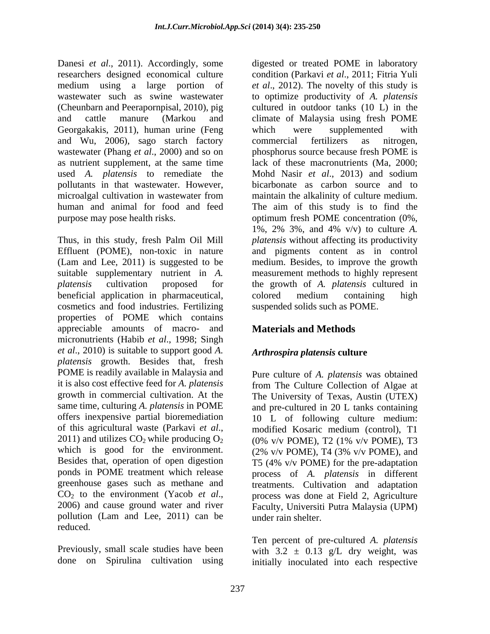Danesi *et al*., 2011). Accordingly, some digested or treated POME in laboratory researchers designed economical culture condition (Parkavi *et al*., 2011; Fitria Yuli medium using a large portion of *et al*., 2012). The novelty of this study is wastewater such as swine wastewater to optimize productivity of *A. platensis* (Cheunbarn and Peerapornpisal, 2010), pig cultured in outdoor tanks (10 L) in the and cattle manure (Markou and climate of Malaysia using fresh POME Georgakakis, 2011), human urine (Feng which were supplemented with and Wu, 2006), sago starch factory wastewater (Phang *et al*., 2000) and so on as nutrient supplement, at the same time used *A. platensis* to remediate the Mohd Nasir *et al*., 2013) and sodium pollutants in that wastewater. However, microalgal cultivation in wastewater from maintain the alkalinity of culture medium. human and animal for food and feed The aim of this study is to find the purpose may pose health risks. optimum fresh POME concentration (0%,

beneficial application in pharmaceutical, cosmetics and food industries. Fertilizing properties of POME which contains appreciable amounts of macro- and micronutrients (Habib *et al*., 1998; Singh *et al*., 2010) is suitable to support good *A. platensis* growth. Besides that, fresh POME is readily available in Malaysia and it is also cost effective feed for *A. platensis*  from The Culture Collection of Algae at growth in commercial cultivation. At the The University of Texas, Austin (UTEX) same time, culturing *A. platensis* in POME and pre-cultured in 20 L tanks containing offers inexpensive partial bioremediation 10 L of following culture medium: of this agricultural waste (Parkavi *et al.*, modified Kosaric medium (control), T1 <br>2011) and utilizes CO<sub>2</sub> while producing O<sub>2</sub> (0% v/v POME), T2 (1% v/v POME), T3 which is good for the environment.  $(2\% \text{ v/v } POME)$ , T4 (3% v/v POME), and Besides that, operation of open digestion T5 (4% v/v POME) for the pre-adaptation ponds in POME treatment which release process of *A. platensis* in different greenhouse gases such as methane and treatments. Cultivation and adaptation CO<sub>2</sub> to the environment (Yacob *et al.*, process was done at Field 2, Agriculture 2006) and cause ground water and river Faculty, Universiti Putra Malaysia (UPM) pollution (Lam and Lee, 2011) can be reduced. The contract of the contract of the contract of the contract of the contract of the contract of the contract of the contract of the contract of the contract of the contract of the contract of the contract of the c

Thus, in this study, fresh Palm Oil Mill *platensis* without affecting its productivity Effluent (POME), non-toxic in nature and pigments content as in control (Lam and Lee, 2011) is suggested to be medium. Besides, to improve the growth suitable supplementary nutrient in *A.*  measurement methods to highly represent *platensis* cultivation proposed for the growth of *A. platensis* cultured in which were supplemented with commercial fertilizers as nitrogen, phosphorus source because fresh POME is lack of these macronutrients (Ma, 2000; bicarbonate as carbon source and to maintain the alkalinity of culture medium. 1%, 2% 3%, and 4% v/v) to culture *A.*  colored medium containing high suspended solids such as POME.

# **Materials and Methods**

# *Arthrospira platensis* **culture**

Pure culture of *A. platensis* was obtained modified Kosaric medium (control), T1 (0% v/v POME), T2 (1% v/v POME), T3  $(2\%$  v/v POME), T4  $(3\%$  v/v POME), and process was done at Field 2, Agriculture Faculty, Universiti Putra Malaysia (UPM) under rain shelter.

Previously, small scale studies have been with  $3.2 \pm 0.13$  g/L dry weight, was done on Spirulina cultivation using initially inoculated into each respectiveTen percent of pre-cultured *A. platensis*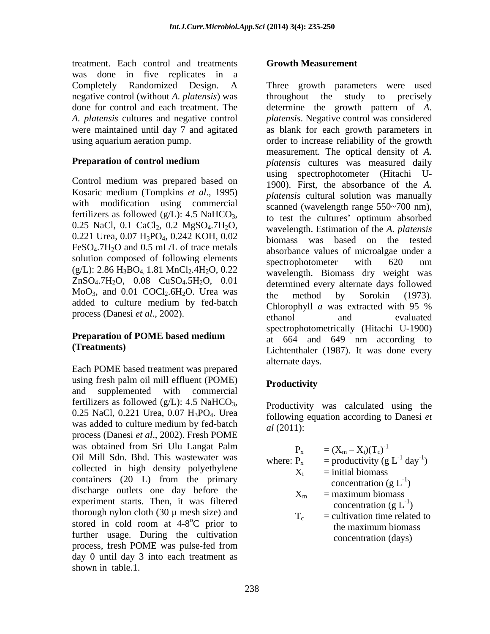treatment. Each control and treatments was done in five replicates in a negative control (without *A. platensis*) was

Control medium was prepared based on Kosaric medium (Tompkins *et al*., 1995) with modification using commercial 0.221 Urea, 0.07 H<sub>3</sub>PO<sub>4</sub>, 0.242 KOH, 0.02  $FeSO<sub>4</sub>$ .7H<sub>2</sub>O and 0.5 mL/L of trace metals solution composed of following elements<br>spectrophotometer with 620 nm  $(g/L):$  2.86 H<sub>3</sub>BO<sub>4</sub> 1.81 MnCl<sub>2</sub>.4H<sub>2</sub>O, 0.22  $ZnSO<sub>4</sub>.7H<sub>2</sub>O$ , 0.08  $CuSO<sub>4</sub>.5H<sub>2</sub>O$ , 0.01  $MoO<sub>3</sub>$ , and 0.01 COCl<sub>2</sub>.6H<sub>2</sub>O. Urea was the method by Sorokin (1973). added to culture medium by fed-batch<br>Chlorophyll  $\alpha$  was extracted with 95 %

# **Preparation of POME based medium**

Each POME based treatment was prepared using fresh palm oil mill effluent (POME) Productivity and supplemented with commercial and the substitution of the supplemented with commercial fertilizers as followed (g/L): 4.5 NaHCO<sub>3</sub>, <br>0.25 NaCl, 0.221 Urea, 0.07 H<sub>3</sub>PO<sub>4</sub>. Urea <br>following equation according to Danesi *et* was added to culture medium by fed-batch  $d(2011)$ . was added to culture medium by red-batch and (2011):<br>process (Danesi *et al.*, 2002). Fresh POME was obtained from Sri Ulu Langat Palm<br> $\mathbf{p} = (X - X)(T)^{-1}$ Oil Mill Sdn. Bhd. This wastewater was collected in high density polyethylene containers (20 L) from the primary discharge outlets one day before the experiment starts. Then, it was filtered thorough nylon cloth  $(30 \mu \text{ mesh size})$  and stored in cold room at 4-8<sup>o</sup>C prior to further usage. During the cultivation process, fresh POME was pulse-fed from day 0 until day 3 into each treatment as shown in table.1.

### **Growth Measurement**

Completely Randomized Design. A Three growth parameters were used done for control and each treatment. The determine the growth pattern of *A. A. platensis* cultures and negative control *platensis*. Negative control was considered were maintained until day 7 and agitated as blank for each growth parameters in using aquarium aeration pump. order to increase reliability of the growth **Preparation of control medium** *platensis* cultures was measured daily fertilizers as followed (g/L): 4.5 NaHCO<sub>3</sub>,<br>0.25 NaCl, 0.1 CaCl<sub>2</sub>, 0.2 MgSO<sub>4</sub>.7H<sub>2</sub>O, wavelength Estimation of the A *platensis* process (Danesi *et al.*, 2002). <br>
ethanol and evaluated with  $\frac{1}{2}$  of the ethanol evaluated evaluated **(Treatments)** Lichtenthaler (1987). It was done every throughout the study to measurement. The optical density of *A.*  using spectrophotometer (Hitachi U- 1900). First, the absorbance of the *A. platensis* cultural solution was manually scanned (wavelength range 550~700 nm), to test the cultures' optimum absorbed wavelength. Estimation of the *A. platensis* biomass was based on the tested absorbance values of microalgae under a spectrophotometer with 620 nm wavelength. Biomass dry weight was determined every alternate days followed the method by Sorokin (1973). Chlorophyll *a* was extracted with 95 % ethanol and evaluated spectrophotometrically (Hitachi U-1900) at 664 and 649 nm according to alternate days.

# **Productivity**

Productivity was calculated using the following equation according to Danesi *et al* (2011):

| angat Palm                    |          | $=(X_m - X_i)(T_c)^{-1}$                       |
|-------------------------------|----------|------------------------------------------------|
| tewater was                   | where: P | = productivity (g $L^{-1}$ day <sup>-1</sup> ) |
| polyethylene                  |          | $=$ initial biomass                            |
| e primary                     |          | concentration $(g L^{-1})$                     |
| before the                    |          | $=$ maximum biomass                            |
| was filtered                  | ∠∿m      | concentration (g $L^{-1}$ )                    |
| esh size) and                 |          | $=$ cultivation time related to                |
| <sup>o</sup> C prior to       |          | the maximum biomass                            |
| cultivation                   |          | concentration (days)                           |
| $\overline{a}$ $\overline{a}$ |          |                                                |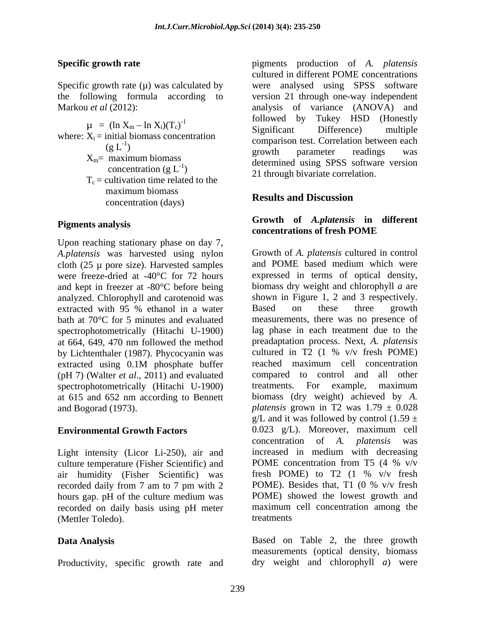Specific growth rate  $(\mu)$  was calculated by

where:  $X_i$  = initial biomass concentration  $T_c$  = cultivation time related to the maximum biomass<br>Results and Discussion concentration (days)

Upon reaching stationary phase on day 7, *A.platensis* was harvested using nylon cloth (25 µ pore size). Harvested samples were freeze-dried at -40°C for 72 hours analyzed. Chlorophyll and carotenoid was shown in Figure 1, 2 and 3 respectively.<br>extracted with 95 % ethanol in a water Based on these three growth at 664, 649, 470 nm followed the method preadaptation process. Next, A. platensis<br>by Lichtenthaler (1987). Phycocyanin was cultured in T2 (1 % v/v fresh POME) by Lichtenthaler (1987). Phycocyanin was cultured in T2 (1 % v/v fresh POME) extracted using 0.1M phosphate buffer reached maximum cell concentration (pH 7) (Walter *et al*., 2011) and evaluated spectrophotometrically (Hitachi U-1900) treatments. For example, maximum at 615 and 652 nm according to Bennett

Light intensity (Licor Li-250), air and increased in medium with decreasing culture temperature (Fisher Scientific) and POME concentration from T5 (4 % v/v culture temperature (Fisher Scientific) and <br>
air humidity (Fisher Scientific) was fresh POME) to T2 (1 % v/v fresh air humidity (Fisher Scientific) was fresh POME) to T2  $(1\% \text{ v/v} \text{ fresh} \text{ recorded daily from 7 am to 7 pm with 2})$  POME). Besides that, T1  $(0\% \text{ v/v} \text{ fresh})$ hours gap. pH of the culture medium was recorded on daily basis using pH meter (Mettler Toledo).

Productivity, specific growth rate and

**Specific growth rate** pigments production of *A. platensis* the following formula according to version 21 through one-way independent Markou *et al* (2012): analysis of variance (ANOVA) and  $\mu = (\ln X_m - \ln X_i)(T_c)^{-1}$  followed by Tukey HSD (Hollestly<br>Significant Difference) multiple -1 followed by Tukey HSD (Honestly  $(g L<sup>-1</sup>)$  comparison test. Correlation between each  $(g L<sup>-1</sup>)$  arough parameter readings was ) comparison test. Correlation octivities then  $X_m$ = maximum biomass determined using SPSS software version  $\frac{\text{correctation}}{g L^{-1}}$  concentration (g  $L^{-1}$ )  $\frac{\text{determined using SFSS}$  soliwate version )<br>
21 through bivariate correlation. cultured in different POME concentrations were analysed using SPSS software Significant Difference) multiple comparison test. Correlation between each growth parameter readings was

### **Results and Discussion**

### Pigments analysis **Solution Community Community** and *Alphaensis* in different **Growth of** *A.platensis* **in different concentrations of fresh POME**

and kept in freezer at -80°C before being biomass dry weight and chlorophyll *a* are extracted with 95 % ethanol in a water Based on these three growth bath at 70°C for 5 minutes and evaluated measurements, there was no presence of spectrophotometrically (Hitachi U-1900) lag phase in each treatment due to the extracted using 0.1M phosphate buffer and Bogorad (1973).  $\mu$  *platensis* grown in T2 was  $1.79 \pm 0.028$ **Environmental Growth Factors** 0.023 g/L). Moreover, maximum cell recorded daily from 7 am to 7 pm with 2 POME). Besides that, T1 (0 % v/v fresh Growth of *A. platensis* cultured in control and POME based medium which were expressed in terms of optical density, shown in Figure 1, 2 and 3 respectively. Based on these three growth preadaptation process. Next, *A. platensis* cultured in T2 (1 % v/v fresh POME) reached maximum cell concentration compared to control and all other treatments. For example, maximum biomass (dry weight) achieved by *A.*  g/L and it was followed by control (1.59  $\pm$ concentration of *A. platensis* was increased in medium with decreasing POME concentration from T5 (4 % v/v fresh POME) to T2 (1 % v/v fresh POME). Besides that, T1 (0 % v/v fresh POME) showed the lowest growth and maximum cell concentration among the treatments

**Data Analysis** Based on Table 2, the three growth measurements (optical density, biomass dry weight and chlorophyll *a*) were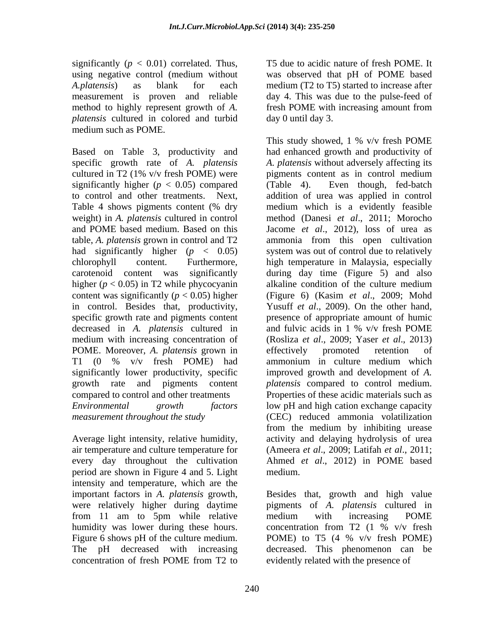significantly  $(p < 0.01)$  correlated. Thus, T5 due to acidic nature of fresh POME. It using negative control (medium without was observed that pH of POME based *A.platensis*) as blank for each medium (T2 to T5) started to increase after measurement is proven and reliable method to highly represent growth of *A*. **Firms** fresh POME with increasing amount from *platensis* cultured in colored and turbid medium such as POME.

Based on Table 3, productivity and cultured in T2 (1% v/v fresh POME) were pigments content as in control medium significantly higher  $(p < 0.05)$  compared (Table 4). higher  $(p < 0.05)$  in T2 while phycocyanin alkaline condition of the culture medium in control. Besides that, productivity, decreased in *A. platensis* cultured in POME. Moreover, *A. platensis* grown in significantly lower productivity, specific

Average light intensity, relative humidity, period are shown in Figure 4 and 5. Light intensity and temperature, which are the were relatively higher during daytime from 11 am to 5pm while relative medium with increasing POME humidity was lower during these hours. concentration from T2 (1 % v/v fresh Figure 6 shows pH of the culture medium. POME) to T5 (4 % v/v fresh POME) concentration of fresh POME from T2 to

day 4. This was due to the pulse-feed of fresh POME with increasing amount from day 0 until day 3.

specific growth rate of *A. platensis A. platensis* without adversely affecting its to control and other treatments. Next, addition of urea was applied in control Table 4 shows pigments content (% dry and medium which is a evidently feasible weight) in *A. platensis* cultured in control method (Danesi *et al*., 2011; Morocho and POME based medium. Based on this Jacome *et al*., 2012), loss of urea as table, *A. platensis* grown in control and T2 ammonia from this open cultivation had significantly higher (*p* < 0.05) system was out of control due to relatively chlorophyll content. Furthermore, high temperature in Malaysia, especially carotenoid content was significantly during day time (Figure 5) and also content was significantly (*p* < 0.05) higher (Figure 6) (Kasim *et al*., 2009; Mohd specific growth rate and pigments content presence of appropriate amount of humic medium with increasing concentration of (Rosliza *et al*., 2009; Yaser *et al*., 2013) T1 (0 % v/v fresh POME) had ammonium in culture medium which growth rate and pigments content *platensis* compared to control medium. compared to control and other treatments Properties of these acidic materials such as *Environmental growth factors* low pH and high cation exchange capacity *measurement throughout the study* (CEC) reduced ammonia volatilization air temperature and culture temperature for (Ameera *et al*., 2009; Latifah *et al*., 2011; every day throughout the cultivation Ahmed *et al*., 2012) in POME based This study showed, 1 % v/v fresh POME had enhanced growth and productivity of pigments content as in control medium Even though, fed-batch medium which is a evidently feasible alkaline condition of the culture medium Yusuff *et al*., 2009). On the other hand, and fulvic acids in 1 % v/v fresh POME effectively promoted retention of ammonium in culture medium which improved growth and development of *A.*  from the medium by inhibiting urease activity and delaying hydrolysis of urea medium.

important factors in *A. platensis* growth, Besides that, growth and high value The pH decreased with increasing decreased. This phenomenon can be pigments of *A. platensis* cultured in medium with increasing POME concentration from T2 (1 % v/v fresh POME) to T5 (4 % v/v fresh POME) evidently related with the presence of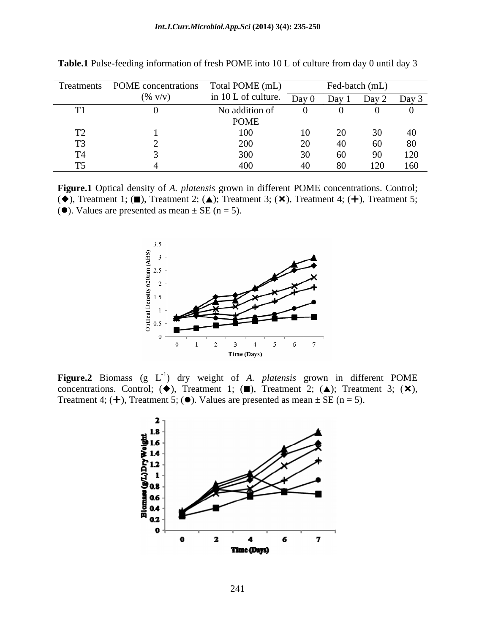| Treatments | POME concentrations  | Total POME (mL)        |       |       | Fed-batch (mL) |       |
|------------|----------------------|------------------------|-------|-------|----------------|-------|
|            | $(\% \, \text{V/v})$ | in 10 L of culture.    | Day 0 | Day 1 | Day 2          | Day 3 |
|            |                      | No addition of<br>POME |       |       |                |       |
| <b>A</b>   |                      | 100                    |       |       |                |       |
|            |                      | ZUU                    |       | ய     |                | 80    |
|            |                      | $\Omega$               |       |       |                | 120   |
|            |                      |                        |       |       | 120            | 160   |

**Table.1** Pulse-feeding information of fresh POME into 10 L of culture from day 0 until day 3

**Figure.1** Optical density of *A. platensis* grown in different POME concentrations. Control;  $(\blacklozenge)$ , Treatment 1; ( $\blacksquare$ ), Treatment 2; ( $\blacktriangle$ ); Treatment 3; ( $\times$ ), Treatment 4; ( $+\!$ ), Treatment 5; ( $\bullet$ ). Values are presented as mean  $\pm$  SE (n = 5).



Figure.2 Biomass (g L<sup>-1</sup>) dry weight of *A. platensis* grown in different POME concentrations. Control; ( $\blacklozenge$ ), Treatment 1; ( $\blacksquare$ ), Treatment 2; ( $\blacktriangle$ ); Treatment 3; ( $\times$ ), Treatment 4; ( $+$ ), Treatment 5; ( $\bullet$ ). Values are presented as mean  $\pm$  SE (n = 5).

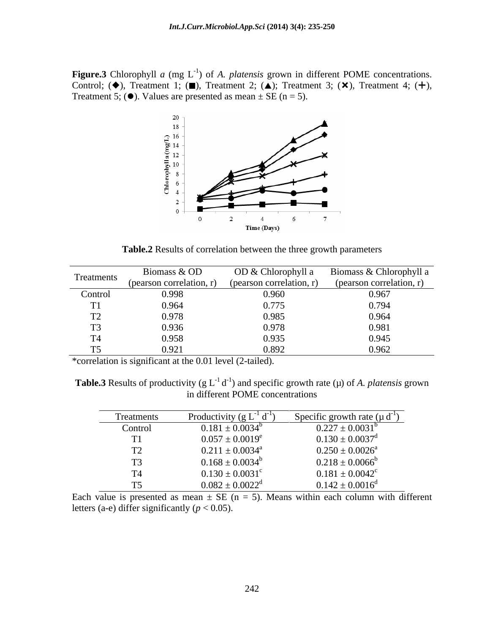**Figure.3** Chlorophyll *a* (mg  $L^{-1}$ ) of *A. platensis* grown in different POME concentrations. **Figure.3** Chlorophyll *a* (mg L<sup>-1</sup>) of *A. platensis* grown in different POME concentrations. Control; ( $\blacklozenge$ ), Treatment 1; ( $\blacksquare$ ), Treatment 2; ( $\blacktriangle$ ); Treatment 3; ( $\blacktriangledown$ ), Treatment 4; ( $\blacklozenge$ ), Values are p



**Table.2** Results of correlation between the three growth parameters

| Treatments | Biomass & OD             | OD & Chlorophyll a       | Biomass & Chlorophyll a  |
|------------|--------------------------|--------------------------|--------------------------|
|            | (pearson correlation, r) | (pearson correlation, r) | (pearson correlation, r) |
| Control    | 0.998                    | 0.960                    | 0.967                    |
|            | 0.964                    | 0.775                    | 0.794                    |
|            | 0.978                    | 0.985                    | 0.964                    |
|            | 0.936                    | 0.978                    | 0.981                    |
|            | 0.958                    | 0.935                    | 0.945                    |
|            | 0.92                     | 0.892                    | 0.962                    |

\*correlation is significant at the 0.01 level (2-tailed).

**Table.3** Results of productivity (g  $L^{-1} d^{-1}$ ) and specific growth rate ( $\mu$ ) of *A. platensis* grown in different POME concentrations

| Treatments                     | Productivity $(g L^{-1} d^{-1})$ | Specific growth rate $(\mu d^{-1})$ |
|--------------------------------|----------------------------------|-------------------------------------|
| Control                        | $0.181 \pm 0.0034^b$             | $0.227 \pm 0.0031^b$                |
| TT1                            | $0.057 \pm 0.0019^e$             | $0.130 \pm 0.0037$ <sup>d</sup>     |
| $T^{\wedge}$<br>$\perp$        | $0.211 \pm 0.0034^a$             | $0.250 \pm 0.0026^a$                |
| $\mathbf{m}$<br>$\overline{1}$ | $0.168 \pm 0.0034^b$             | $0.218 \pm 0.0066^b$                |
| $T = 4$                        | $0.130 \pm 0.0031$ <sup>c</sup>  | $0.181 \pm 0.0042$ <sup>c</sup>     |
| $\sim$                         | $0.082 \pm 0.0022^d$             | $0.142 \pm 0.0016^{\circ}$          |

Each value is presented as mean  $\pm$  SE (n = 5). Means within each column with different letters (a-e) differ significantly ( $p < 0.05$ ).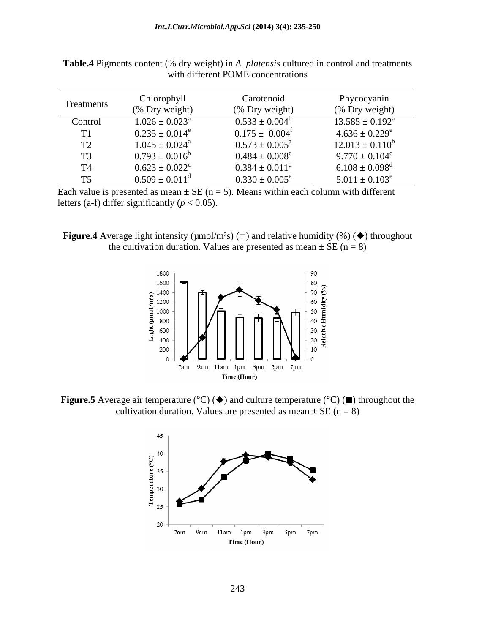| Treatments | Chlorophyll<br>Carotenoid    |                              | Phycocyanin                    |  |
|------------|------------------------------|------------------------------|--------------------------------|--|
|            | (% Dry weight)               | (% Dry weight)               | (% Dry weight)                 |  |
| Control    | $1.026 \pm 0.023^a$          | $0.533 \pm 0.004^b$          | $13.585 \pm 0.192^{\text{a}}$  |  |
|            | $0.235 \pm 0.014^e$          | $0.175 \pm 0.004^{\text{f}}$ | $4.636 \pm 0.229^e$            |  |
|            | $1.045 \pm 0.024^{\text{a}}$ | $0.573 \pm 0.005^{\text{a}}$ | $12.013 \pm 0.110^6$           |  |
|            | $0.793 \pm 0.016^b$          | $0.484 \pm 0.008^c$          | $9.770 \pm 0.104^c$            |  |
|            | $0.623 \pm 0.022^c$          | $0.384 \pm 0.011^d$          | $6.108 \pm 0.098$ <sup>d</sup> |  |
|            | $0.509 \pm 0.011^{\rm d}$    | $0.330 \pm 0.005^e$          | $5.011 \pm 0.103^e$            |  |

**Table.4** Pigments content (% dry weight) in *A. platensis* cultured in control and treatments with different POME concentrations

Each value is presented as mean  $\pm$  SE (n = 5). Means within each column with different letters (a-f) differ significantly ( $p < 0.05$ ).

**Figure.4** Average light intensity ( $\mu$ mol/m<sup>2</sup>s) ( $\Box$ ) and relative humidity (%) ( $\blacklozenge$ ) throughout the cultivation duration. Values are presented as mean  $\pm$  SE (n = 8)



**Figure.5** Average air temperature ( $^{\circ}C$ ) ( $\blacklozenge$ ) and culture temperature ( $^{\circ}C$ ) ( $\blacksquare$ ) throughout the cultivation duration. Values are presented as mean  $\pm$  SE (n = 8)

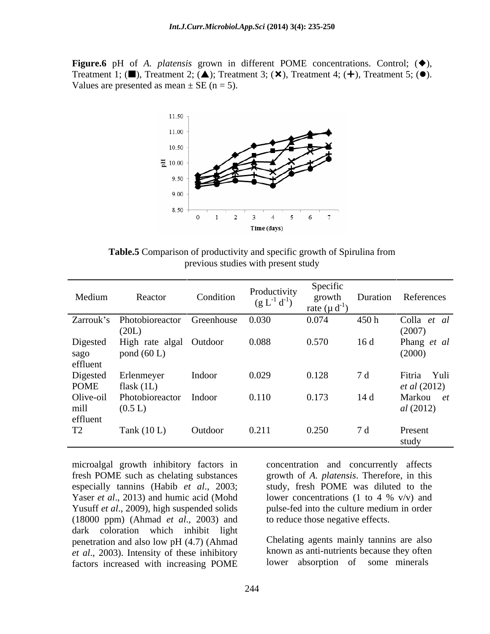**Figure.6** pH of *A. platensis* grown in different POME concentrations. Control;  $(\diamondsuit)$ , Treatment 1; ( $\blacksquare$ ), Treatment 2; ( $\blacktriangle$ ); Treatment 3; ( $\times$ ), Treatment 4; ( $+$ ), Treatment 5; ( $\lozenge$ ). Values are presented as mean  $\pm$  SE (n = 5).



**Table.5** Comparison of productivity and specific growth of Spirulina from previous studies with present study

| Medium           | Reactor                              | Condition | Productivity<br>$(g L^{-1} d^{-1})$ | Specific<br>growth<br>rate ( $\mu$ d <sup>-1</sup> |      | Duration References |
|------------------|--------------------------------------|-----------|-------------------------------------|----------------------------------------------------|------|---------------------|
|                  | Zarrouk's Photobioreactor Greenhouse |           | 0.030                               | 0.074                                              | 450h | Colla et al         |
|                  | (20L)                                |           |                                     |                                                    |      | (2007)              |
| Digested         | High rate algal Outdoor              |           | 0.088                               | 0.570                                              | 16d  | Phang et al         |
|                  | pond $(60 L)$                        |           |                                     |                                                    |      | (2000)              |
| sago<br>effluent |                                      |           |                                     |                                                    |      |                     |
| Digested         | Erlenmeyer                           | Indoor    | 0.029                               | 0.128                                              | 7 d  | Fitria Yuli         |
| <b>POME</b>      | flask $(1L)$                         |           |                                     |                                                    |      | <i>et al</i> (2012) |
| Olive-oil        | Photobioreactor                      | Indoor    | 0.110                               | 0.173                                              | 14d  | Markou et           |
|                  | (0.5 L)                              |           |                                     |                                                    |      | al(2012)            |
| mill<br>effluent |                                      |           |                                     |                                                    |      |                     |
| T2               | Tank $(10 L)$                        | Outdoor   | 0.211                               | 0.250                                              | 7 d  | Present             |
|                  |                                      |           |                                     |                                                    |      | study               |

microalgal growth inhibitory factors in concentration and concurrently affects fresh POME such as chelating substances growth of *A. platensis*. Therefore, in this especially tannins (Habib *et al*., 2003; Yaser *et al.*, 2013) and humic acid (Mohd lower concentrations (1 to 4 % v/v) and Yusuff *et al.*, 2009), high suspended solids pulse-fed into the culture medium in order (18000 ppm) (Ahmad *et al*., 2003) and dark coloration which inhibit light penetration and also low pH (4.7) (Ahmad *et al*., 2003). Intensity of these inhibitory factors increased with increasing POME

study, fresh POME was diluted to the pulse-fed into the culture medium in order to reduce those negative effects.

Chelating agents mainly tannins are also known as anti-nutrients because they often lower absorption of some minerals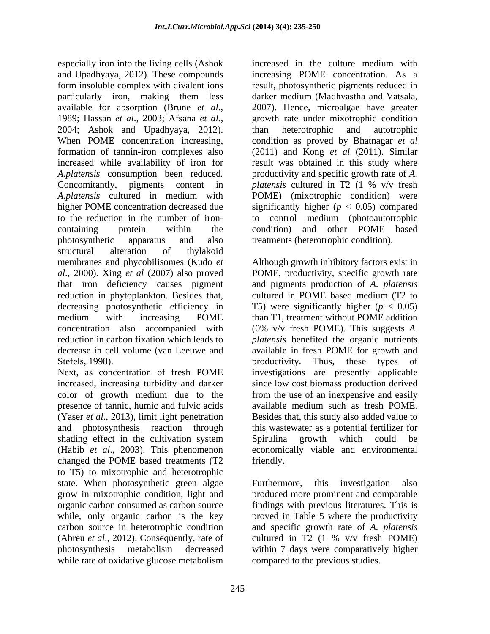especially iron into the living cells (Ashok increased in the culture medium with and Upadhyaya, 2012). These compounds form insoluble complex with divalent ions result, photosynthetic pigments reduced in particularly iron, making them less darker medium (Madhyastha and Vatsala, available for absorption (Brune *et al*., 1989; Hassan *et al*., 2003; Afsana *et al*., 2004; Ashok and Upadhyaya, 2012). When POME concentration increasing, condition as proved by Bhatnagar*et al* formation of tannin-iron complexes also (2011) and Kong *et al* (2011). Similar increased while availability of iron for result was obtained in this study where *A.platensis* consumption been reduced*.* Concomitantly, pigments content in *platensis* cultured in T2 (1 % v/v fresh *A.platensis* cultured in medium with higher POME concentration decreased due significantly higher (*p* < 0.05) compared to the reduction in the number of iron- to control medium (photoautotrophic containing protein within the condition) and other POME based photosynthetic apparatus and also treatments (heterotrophic condition). structural alteration of thylakoid membranes and phycobilisomes (Kudo *et al*., 2000). Xing *et al* (2007) also proved POME, productivity, specific growth rate that iron deficiency causes pigment and pigments production of *A. platensis* reduction in phytoplankton. Besides that, decreasing photosynthetic efficiency in medium with increasing POME than T1, treatment without POME addition concentration also accompanied with (0% v/v fresh POME). This suggests *A.*  reduction in carbon fixation which leads to *platensis* benefited the organic nutrients decrease in cell volume (van Leeuwe and available in fresh POME for growth and Stefels, 1998). Thus, these types of

Next, as concentration of fresh POME investigations are presently applicable increased, increasing turbidity and darker since low cost biomass production derived color of growth medium due to the from the use of an inexpensive and easily<br>presence of tannic, humic and fulvic acids available medium such as fresh POME. presence of tannic, humic and fulvic acids (Yaser *et al*., 2013), limit light penetration and photosynthesis reaction through shading effect in the cultivation system Spirulina growth which could be (Habib *et al*., 2003). This phenomenon economically viable and environmental changed the POME based treatments (T2 friendly. to T5) to mixotrophic and heterotrophic state. When photosynthetic green algae Furthermore, this investigation also grow in mixotrophic condition, light and produced more prominent and comparable organic carbon consumed as carbon source findings with previous literatures. This is while, only organic carbon is the key proved in Table 5 where the productivity carbon source in heterotrophic condition (Abreu *et al.*, 2012). Consequently, rate of cultured in T2 (1 % v/v fresh POME) photosynthesis metabolism decreased within 7 days were comparatively higher while rate of oxidative glucose metabolism

increasing POME concentration. As a 2007). Hence, microalgae have greater growth rate under mixotrophic condition than heterotrophic and autotrophic productivity and specific growth rate of *A. platensis* cultured in T2 (1 % v/v fresh POME) (mixotrophic condition) were

Although growth inhibitory factors exist in cultured in POME based medium (T2 to T5) were significantly higher  $(p < 0.05)$ productivity. Thus, these types of from the use of an inexpensive and easily available medium such as fresh POME. Besides that, this study also added value to this wastewater as a potential fertilizer for Spirulina growth which could be friendly.

Furthermore, this investigation also and specific growth rate of *A. platensis* cultured in T2 (1 % v/v fresh POME) compared to the previous studies.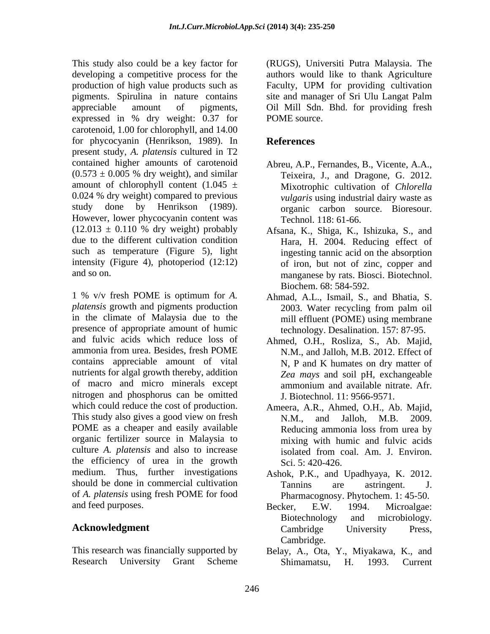This study also could be a key factor for (RUGS), Universiti Putra Malaysia. The developing a competitive process for the authors would like to thank Agriculture production of high value products such as Faculty, UPM for providing cultivation pigments. Spirulina in nature contains appreciable amount of pigments, Oil Mill Sdn.Bhd. for providing fresh expressed in % dry weight: 0.37 for POME source. carotenoid, 1.00 for chlorophyll, and 14.00 for phycocyanin (Henrikson, 1989). In References present study, *A. platensis* cultured in T2 contained higher amounts of carotenoid  $(0.573 \pm 0.005$  % dry weight), and similar amount of chlorophyll content  $(1.045 \pm$ 0.024 % dry weight) compared to previous *vulgaris* using industrial dairy waste as study done by Henrikson (1989). organic carbon source. Bioresour. However, lower phycocyanin content was  $(12.013 \pm 0.110 \%$  dry weight) probably due to the different cultivation condition Hara, H. 2004. Reducing effect of such as temperature (Figure 5), light intensity (Figure 4), photoperiod (12:12)

1 % v/v fresh POME is optimum for *A.*  Ahmad, A.L., Ismail, S., and Bhatia, S. *platensis* growth and pigments production in the climate of Malaysia due to the mill effluent (POME) using membrane presence of appropriate amount of humic and fulvic acids which reduce loss of Ahmed, O.H., Rosliza, S., Ab. Majid, ammonia from urea. Besides, fresh POME N.M., and Jalloh, M.B. 2012. Effect of contains appreciable amount of vital nutrients for algal growth thereby, addition of macro and micro minerals except ammonium and available nitrate. Afr. nitrogen and phosphorus can be omitted which could reduce the cost of production. This study also gives a good view on fresh N.M., and Jalloh, M.B. 2009. POME as a cheaper and easily available<br>Reducing ammonia loss from urea by organic fertilizer source in Malaysia to culture *A. platensis* and also to increase the efficiency of urea in the growth medium. Thus, further investigations Ashok, P.K., and Upadhyaya, K. 2012. should be done in commercial cultivation Tannins are astringent. J. of *A. platensis* using fresh POME for food

This research was financially supported by

Faculty, UPM for providing cultivation site and manager of Sri Ulu Langat Palm POME source.

### **References**

- Abreu, A.P., Fernandes, B., Vicente, A.A., Teixeira, J., and Dragone, G. 2012. Mixotrophic cultivation of *Chlorella vulgaris* using industrial dairy waste as Technol. 118: 61-66.
- and so on. manganese by rats. Biosci. Biotechnol. Afsana, K., Shiga, K., Ishizuka, S., and ingesting tannic acid on the absorption of iron, but not of zinc, copper and Biochem. 68: 584-592.
	- 2003. Water recycling from palm oil technology. Desalination. 157: 87-95.
	- N, P and K humates on dry matter of *Zea mays* and soil pH, exchangeable ammonium and available nitrate. Afr. J. Biotechnol. 11: 9566-9571.
	- Ameera, A.R., Ahmed, O.H., Ab. Majid, N.M., and Jalloh, M.B. 2009. Reducing ammonia loss from urea by mixing with humic and fulvic acids isolated from coal. Am. J. Environ. Sci. 5: 420-426.
	- Tannins are astringent. J. Pharmacognosy. Phytochem. 1: 45-50.
- and feed purposes.<br>Becker, E.W. 1994. Microalgae: **Acknowledgment** Cambridge University Press, Becker, E.W. 1994. Microalgae: Biotechnology and microbiology*.* Cambridge University Press, Cambridge.
- Research University Grant Scheme Shimamatsu, H. 1993. Current Belay, A., Ota, Y., Miyakawa, K., and Shimamatsu, H. 1993. Current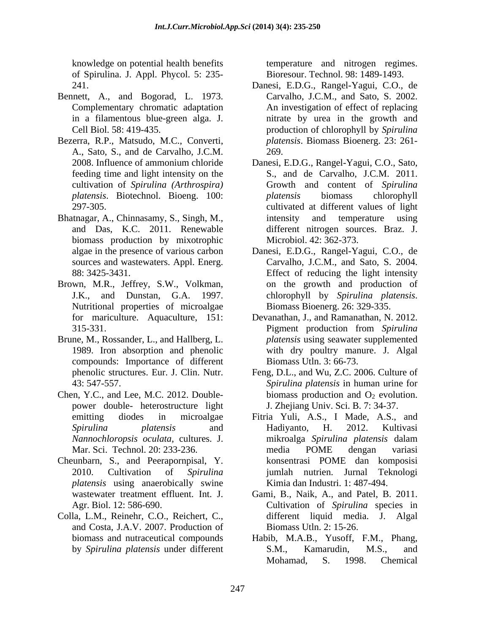knowledge on potential health benefits of Spirulina. J. Appl. Phycol. 5: 235-

- Bennett, A., and Bogorad, L. 1973. in a filamentous blue-green alga. J.
- Bezerra, R.P., Matsudo, M.C., Converti, A., Sato, S., and de Carvalho, J.C.M.
- Bhatnagar, A., Chinnasamy, S., Singh, M., biomass production by mixotrophic
- Brown, M.R., Jeffrey, S.W., Volkman, Nutritional properties of microalgae Biomass Bioenerg. 26: 329-335.
- Brune, M., Rossander, L., and Hallberg, L. compounds: Importance of different
- Chen, Y.C., and Lee, M.C. 2012. Double power double- heterostructure light
- Cheunbarn, S., and Peerapornpisal, Y. *platensis* using anaerobically swine
- Colla, L.M., Reinehr, C.O., Reichert, C., and Costa, J.A.V. 2007. Production of and Costa, J.A.V. 2007. Production of Biomass Utln. 2: 15-26.<br>
biomass and nutraceutical compounds Habib, M.A.B., Yusoff, F.M., Phang,

temperature and nitrogen regimes. Bioresour. Technol. 98: 1489-1493.

- 241. Danesi, E.D.G., Rangel-Yagui, C.O., de Complementary chromatic adaptation An investigation of effect of replacing Cell Biol. 58: 419-435. production of chlorophyll by *Spirulina*  Carvalho, J.C.M., and Sato, S. 2002. nitrate by urea in the growth and *platensis*. Biomass Bioenerg. 23: 261- 269.
- 2008. Influence of ammonium chloride Danesi, E.D.G., Rangel-Yagui, C.O., Sato, feeding time and light intensity on the S., and de Carvalho, J.C.M. 2011. cultivation of *Spirulina (Arthrospira)* Growth and content of *Spirulina platensis*. Biotechnol. Bioeng. 100: 297-305. cultivated at different values of light and Das, K.C. 2011. Renewable different nitrogen sources. Braz. J. *platensis* biomass chlorophyll intensity and temperature using Microbiol. 42: 362-373.
- algae in the presence of various carbon Danesi, E.D.G., Rangel-Yagui, C.O., de sources and wastewaters. Appl. Energ. Carvalho, J.C.M., and Sato, S. 2004. 88: 3425-3431. Effect of reducing the light intensity J.K., and Dunstan, G.A. 1997. chlorophyll by Spirulina platensis. on the growth and production of chlorophyll by *Spirulina platensis*. Biomass Bioenerg. 26: 329-335.
- for mariculture. Aquaculture, 151: Devanathan, J., and Ramanathan, N. 2012. 315-331. Pigment production from Spirulina 1989. Iron absorption and phenolic with dry poultry manure. J. Algal Pigment production from *Spirulina platensis* using seawater supplemented Biomass Utln. 3: 66-73.
- phenolic structures. Eur. J. Clin. Nutr. Feng, D.L., and Wu, Z.C. 2006. Culture of 43: 547-557. *Spirulina platensis* in human urine for biomass production and  $O_2$  evolution. J. Zhejiang Univ. Sci. B. 7: 34-37.
- emitting diodes in microalgae Fitria Yuli, A.S., I Made, A.S., and *Spirulina platensis* and *Nannochloropsis oculata*, cultures. J. Mar. Sci. Technol. 20: 233-236. 2010. Cultivation of *Spirulina*  jumlah nutrien. Jurnal Teknologi Hadiyanto, H. 2012. Kultivasi mikroalga *Spirulina platensis* dalam media POME dengan variasi konsentrasi POME dan komposisi Kimia dan Industri. 1: 487-494.
- wastewater treatment effluent. Int. J. Gami, B., Naik, A., and Patel, B. 2011. Agr. Biol. 12: 586-690. Cultivation of *Spirulina* species in different liquid media. J. Algal
- by *Spirulina platensis* under different S.M., Kamarudin, M.S., and Mohamad, S. 1998. Chemical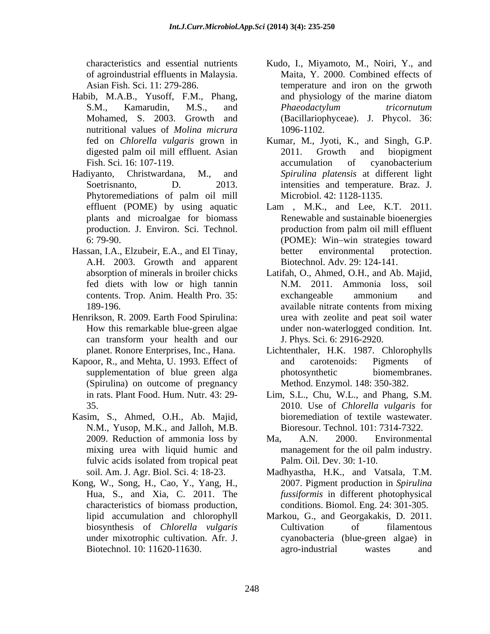- Habib, M.A.B., Yusoff, F.M., Phang, and physiology of the marine diatom nutritional values of *Molina micrura*
- Phytoremediations of palm oil mill Microbiol. 42: 1128-1135.
- Hassan, I.A., Elzubeir, E.A., and El Tinay, A.H. 2003. Growth and apparent
- Henrikson, R. 2009. Earth Food Spirulina:
- Kapoor, R., and Mehta, U. 1993. Effect of and carotenoids: Pigments of (Spirulina) on outcome of pregnancy
- Kasim, S., Ahmed, O.H., Ab. Majid, N.M., Yusop, M.K., and Jalloh, M.B.
- Kong, W., Song, H., Cao, Y., Yang, H., characteristics of biomass production,
- characteristics and essential nutrients Kudo, I., Miyamoto, M., Noiri, Y., and of agroindustrial effluents in Malaysia. Maita, Y. 2000. Combined effects of Asian Fish. Sci. 11: 279-286. temperature and iron on the grwoth S.M., Kamarudin, M.S., and *Phaeodactylum tricornutum* Mohamed, S. 2003. Growth and (Bacillariophyceae). J. Phycol. 36: and physiology of the marine diatom *Phaeodactylum tricornutum* 1096-1102.
- fed on *Chlorella vulgaris* grown in Kumar, M., Jyoti, K., and Singh, G.P. digested palm oil mill effluent. Asian 2011. Growth and biopigment Fish. Sci. 16: 107-119. The accumulation of cyanobacterium Hadiyanto, Christwardana, M., and *Spirulina platensis* at different light Soetrisnanto, D. 2013. intensities and temperature. Braz. J. 2011. Growth and biopigment accumulation of cyanobacterium Microbiol. 42: 1128-1135.
	- effluent (POME) by using aquatic Lam , M.K., and Lee, K.T. 2011. plants and microalgae for biomass Renewable and sustainable bioenergies production. J. Environ. Sci. Technol. 6: 79-90. (POME): Win win strategies toward production from palm oil mill effluent better environmental protection. Biotechnol. Adv. 29: 124-141.
	- absorption of minerals in broiler chicks Latifah, O., Ahmed, O.H., and Ab. Majid, fed diets with low or high tannin contents. Trop. Anim. Health Pro. 35: 189-196. available nitrate contents from mixing How this remarkable blue-green algae under non-waterlogged condition. Int. can transform your health and our N.M. 2011. Ammonia loss, exchangeable ammonium and available nitrate contents from mixing urea with zeolite and peat soil water J. Phys. Sci. 6: 2916-2920.
	- planet. Ronore Enterprises, Inc., Hana. Lichtenthaler, H.K. 1987. Chlorophylls supplementation of blue green alga blotosynthetic biomembranes. and carotenoids: Pigments of photosynthetic biomembranes. Method. Enzymol. 148: 350-382.
	- in rats. Plant Food. Hum. Nutr. 43: 29- Lim, S.L., Chu, W.L., and Phang, S.M. 35. 2010. Use of *Chlorella vulgaris* for bioremediation of textile wastewater. Bioresour. Technol. 101: 7314-7322.
	- 2009. Reduction of ammonia loss by Ma, A.N. 2000. Environmental mixing urea with liquid humic and management for the oil palm industry. fulvic acids isolated from tropical peat Palm. Oil. Dev. 30: 1-10. Ma, A.N. 2000. Environmental management for the oil palm industry. Palm. Oil. Dev. 30: 1-10.
	- soil. Am. J. Agr. Biol. Sci. 4: 18-23. Madhyastha, H.K., and Vatsala, T.M. Hua, S., and Xia, C. 2011. The *fussiformis* in different photophysical 2007. Pigment production in *Spirulina*  conditions. Biomol. Eng. 24: 301-305.
	- lipid accumulation and chlorophyll Markou, G., and Georgakakis, D. 2011. biosynthesis of *Chlorella vulgaris* under mixotrophic cultivation. Afr. J. cyanobacteria (blue-green algae) in Biotechnol. 10: 11620-11630. agro-industrial wastes and Cultivation of filamentous agro-industrial wastes and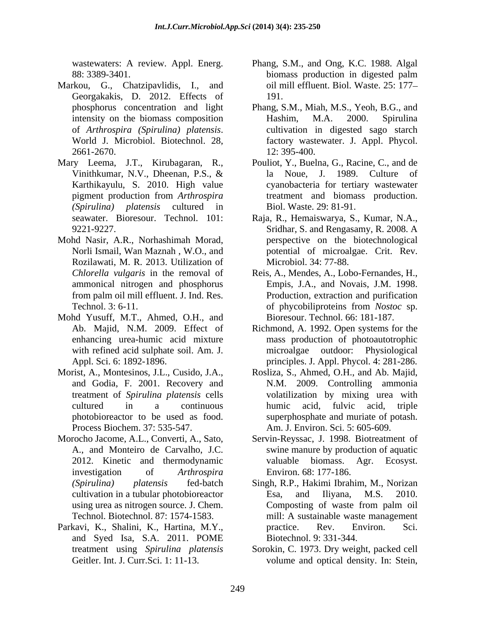wastewaters: A review. Appl. Energ.

- Markou, G., Chatzipavlidis, I., and Georgakakis, D. 2012. Effects of 191.
- Mary Leema, J.T., Kirubagaran, R., Pouliot, Y., Buelna, G., Racine, C., and de
- Mohd Nasir, A.R., Norhashimah Morad, Rozilawati, M. R. 2013. Utilization of<br>Chlorella vulgaris in the removal of
- Mohd Yusuff, M.T., Ahmed, O.H., and
- Morist, A., Montesinos, J.L., Cusido, J.A., treatment of *Spirulina platensis* cells Process Biochem. 37: 535-547. Am. J. Environ. Sci. 5: 605-609.
- Morocho Jacome, A.L., Converti, A., Sato, Servin-Reyssac, J. 1998. Biotreatment of
- Parkavi, K., Shalini, K., Hartina, M.Y., bractice. Rev. Environ. Sci. and Syed Isa, S.A. 2011. POME treatment using *Spirulina platensis*
- 88: 3389-3401. Phang, S.M., and Ong, K.C. 1988. Algal biomass production in digested palm oil mill effluent. Biol. Waste. 25: 177 191.
- phosphorus concentration and light Phang, S.M., Miah, M.S., Yeoh, B.G., and intensity on the biomass composition Hashim, M.A. 2000. Spirulina of *Arthrospira (Spirulina) platensis.* cultivation in digested sago starch<br>World J. Microbiol. Biotechnol. 28, factory wastewater. J. Appl. Phycol. 12: 395-400. Hashim, M.A. 2000. Spirulina cultivation in digested sago starch factory wastewater. J. Appl. Phycol. 12: 395-400.
- Vinithkumar, N.V., Dheenan, P.S., & la Noue, J. 1989. Culture of Karthikayulu, S. 2010. High value cyanobacteria for tertiary wastewater pigment production from *Arthrospira (Spirulina) platensis* cultured in la Noue, J. 1989. Culture of treatment and biomass production. Biol. Waste. 29: 81-91.
- seawater. Bioresour. Technol. 101: Raja, R., Hemaiswarya, S., Kumar, N.A., 9221-9227. Sridhar, S. and Rengasamy, R. 2008. A Norli Ismail, Wan Maznah , W.O., and potential of microalgae. Crit. Rev. perspective on the biotechnological Microbiol. 34: 77-88.
- *Chlorella vulgaris* in the removal of Reis, A., Mendes, A., Lobo-Fernandes, H., ammonical nitrogen and phosphorus Empis, J.A., and Novais, J.M. 1998. from palm oil mill effluent. J. Ind. Res. Production, extraction and purification Technol. 3: 6-11. Technol. 3: 6-11. of phycobiliproteins from *Nostoc* sp. Bioresour. Technol. 66: 181-187.
- Ab. Majid, N.M. 2009. Effect of Richmond, A. 1992. Open systems for the enhancing urea-humic acid mixture mass production of photoautotrophic with refined acid sulphate soil. Am. J. microalgae outdoor: Physiological Appl. Sci. 6: 1892-1896. principles. J. Appl. Phycol. 4: 281-286.
- and Godia, F. 2001. Recovery and N.M. 2009. Controlling ammonia cultured in a continuous photobioreactor to be used as food. Superphosphate and muriate of potash. Rosliza, S., Ahmed, O.H., and Ab. Majid, volatilization by mixing urea with humic acid, fulvic acid, triple
- A., and Monteiro de Carvalho, J.C. swine manure by production of aquatic 2012. Kinetic and thermodynamic investigation of *Arthrospira*  valuable biomass. Agr. Ecosyst. Environ. 68: 177-186.
- *(Spirulina) platensis* fed-batch Singh, R.P., Hakimi Ibrahim, M., Norizan cultivation in a tubular photobioreactor and Esa, and Iliyana, M.S. 2010. using urea as nitrogen source. J. Chem. Composting of waste from palm oil Technol. Biotechnol. 87: 1574-1583. mill: A sustainable waste management Esa, and Iliyana, M.S. 2010. Composting of waste from palm oil practice. Rev. Environ. Sci. Biotechnol. 9: 331-344.
- Geitler. Int. J. Curr.Sci. 1: 11-13. volume and optical density. In: Stein,Sorokin, C. 1973. Dry weight, packed cell